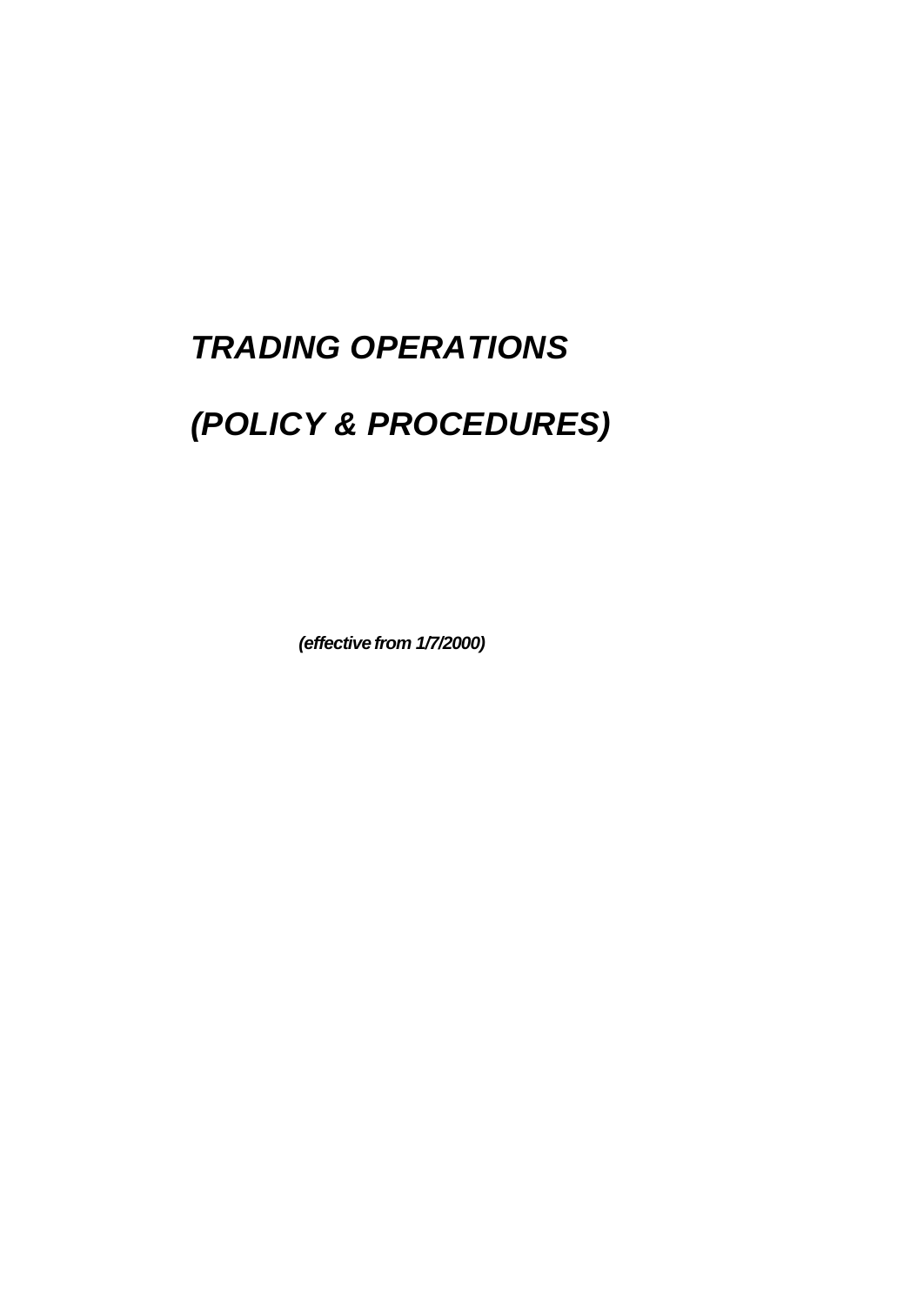# *TRADING OPERATIONS (POLICY & PROCEDURES)*

*(effective from 1/7/2000)*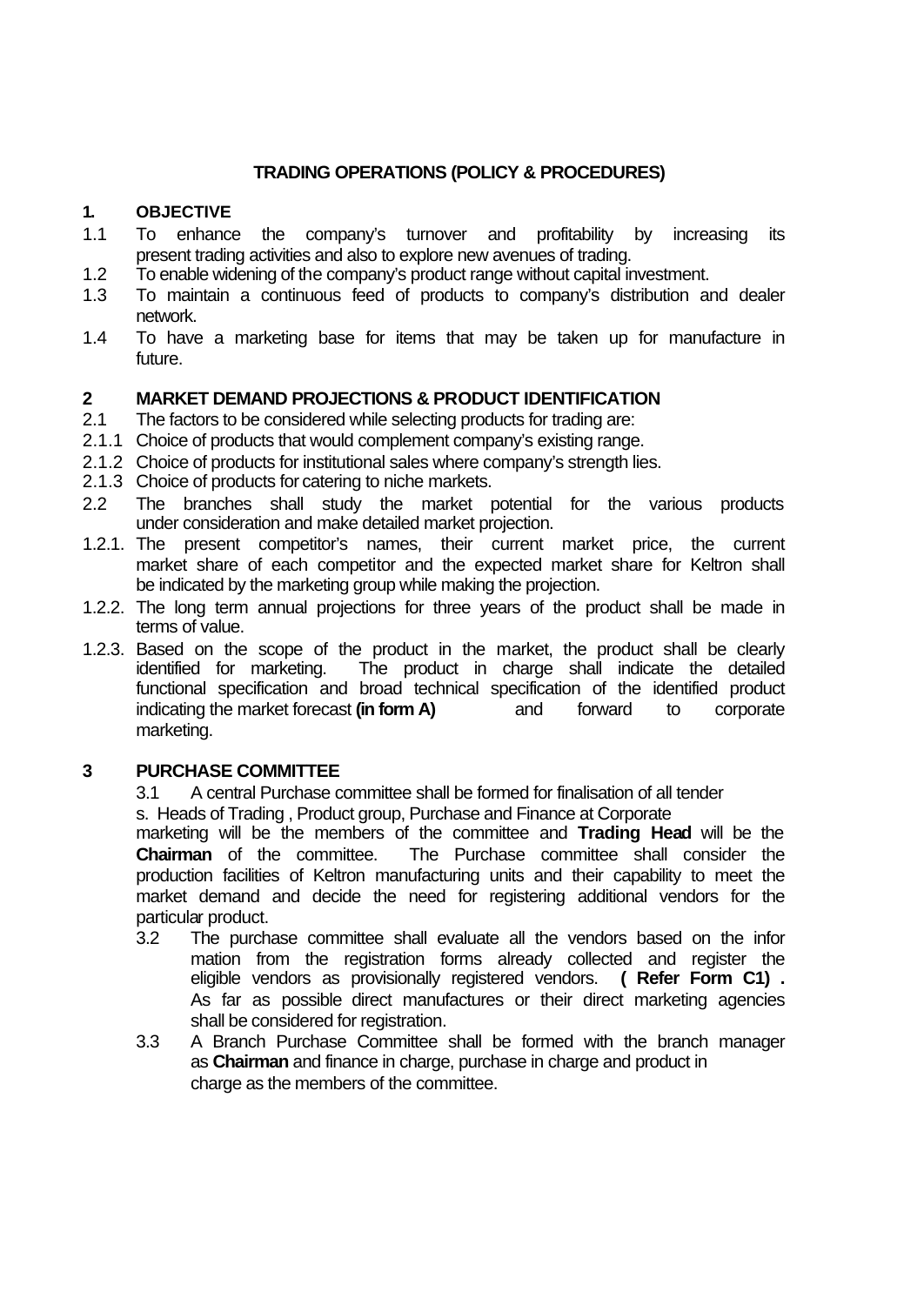# **TRADING OPERATIONS (POLICY & PROCEDURES)**

#### **1. OBJECTIVE**

- 1.1 To enhance the company's turnover and profitability by increasing its present trading activities and also to explore new avenues of trading.
- 1.2 To enable widening of the company's product range without capital investment.
- 1.3 To maintain a continuous feed of products to company's distribution and dealer network.
- 1.4 To have a marketing base for items that may be taken up for manufacture in future.

# **2 MARKET DEMAND PROJECTIONS & PRODUCT IDENTIFICATION**

- 2.1 The factors to be considered while selecting products for trading are:
- 2.1.1 Choice of products that would complement company's existing range.
- 2.1.2 Choice of products for institutional sales where company's strength lies.
- 2.1.3 Choice of products for catering to niche markets.
- 2.2 The branches shall study the market potential for the various products under consideration and make detailed market projection.
- 1.2.1. The present competitor's names, their current market price, the current market share of each competitor and the expected market share for Keltron shall be indicated by the marketing group while making the projection.
- 1.2.2. The long term annual projections for three years of the product shall be made in terms of value.
- 1.2.3. Based on the scope of the product in the market, the product shall be clearly identified for marketing. The product in charge shall indicate the detailed functional specification and broad technical specification of the identified product indicating the market forecast **(in form A)** and forward to corporate marketing.

#### **3 PURCHASE COMMITTEE**

3.1 A central Purchase committee shall be formed for finalisation of all tender s. Heads of Trading , Product group, Purchase and Finance at Corporate

marketing will be the members of the committee and **Trading Head** will be the **Chairman** of the committee. The Purchase committee shall consider the production facilities of Keltron manufacturing units and their capability to meet the market demand and decide the need for registering additional vendors for the particular product.

- 3.2 The purchase committee shall evaluate all the vendors based on the infor mation from the registration forms already collected and register the eligible vendors as provisionally registered vendors. **( Refer Form C1) .**  As far as possible direct manufactures or their direct marketing agencies shall be considered for registration.
- 3.3 A Branch Purchase Committee shall be formed with the branch manager as **Chairman** and finance in charge, purchase in charge and product in charge as the members of the committee.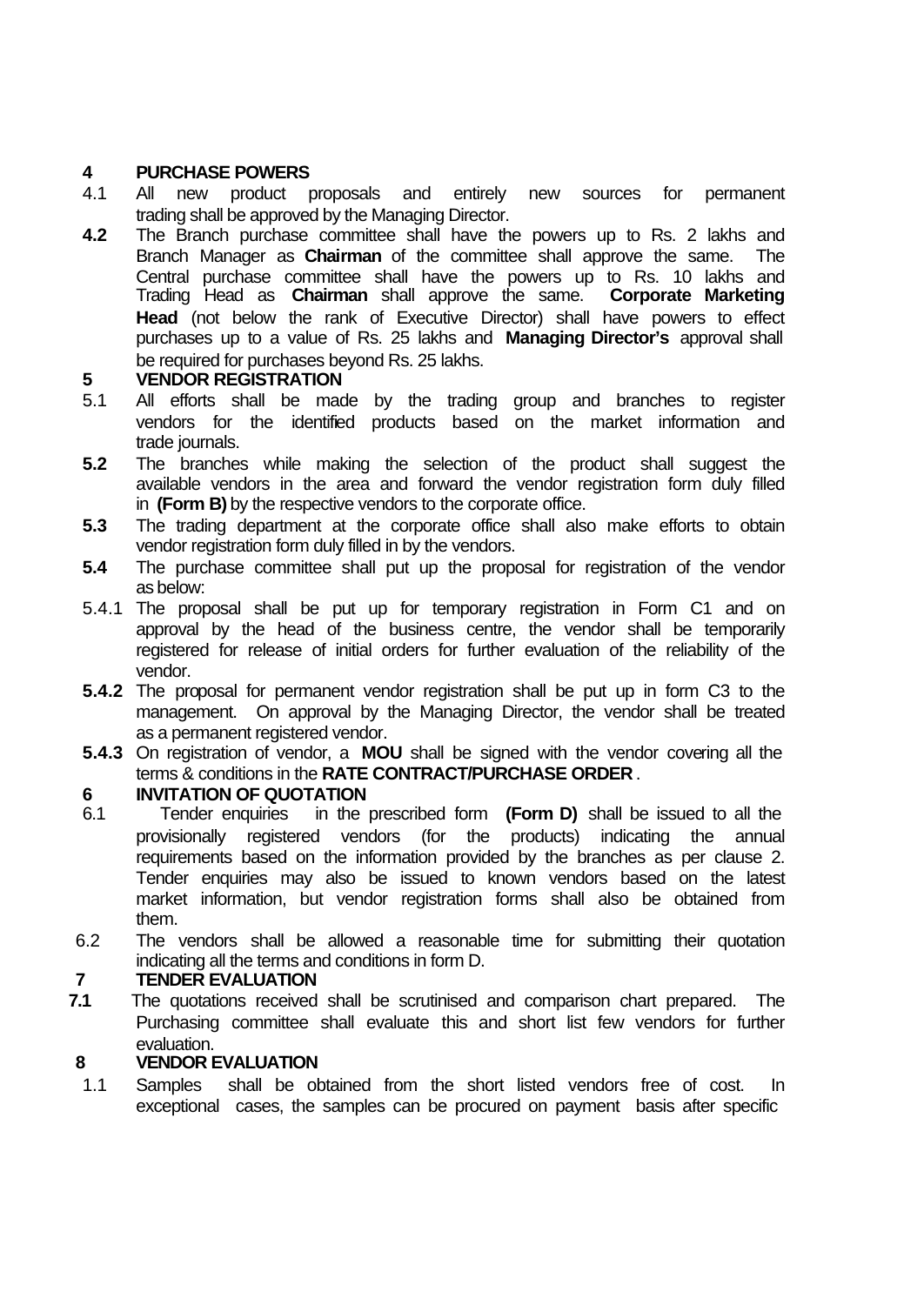#### **4 PURCHASE POWERS**

- 4.1 All new product proposals and entirely new sources for permanent trading shall be approved by the Managing Director.
- **4.2** The Branch purchase committee shall have the powers up to Rs. 2 lakhs and Branch Manager as **Chairman** of the committee shall approve the same. The Central purchase committee shall have the powers up to Rs. 10 lakhs and Trading Head as **Chairman** shall approve the same. **Corporate Marketing Head** (not below the rank of Executive Director) shall have powers to effect purchases up to a value of Rs. 25 lakhs and **Managing Director's** approval shall be required for purchases beyond Rs. 25 lakhs.

#### **5 VENDOR REGISTRATION**

- 5.1 All efforts shall be made by the trading group and branches to register vendors for the identified products based on the market information and trade journals.
- **5.2** The branches while making the selection of the product shall suggest the available vendors in the area and forward the vendor registration form duly filled in **(Form B)** by the respective vendors to the corporate office.
- **5.3** The trading department at the corporate office shall also make efforts to obtain vendor registration form duly filled in by the vendors.
- **5.4** The purchase committee shall put up the proposal for registration of the vendor as below:
- 5.4.1 The proposal shall be put up for temporary registration in Form C1 and on approval by the head of the business centre, the vendor shall be temporarily registered for release of initial orders for further evaluation of the reliability of the vendor.
- **5.4.2** The proposal for permanent vendor registration shall be put up in form C3 to the management. On approval by the Managing Director, the vendor shall be treated as a permanent registered vendor.
- **5.4.3** On registration of vendor, a **MOU** shall be signed with the vendor covering all the terms & conditions in the **RATE CONTRACT/PURCHASE ORDER** .

# **6 INVITATION OF QUOTATION**

- 6.1 Tender enquiries in the prescribed form **(Form D)** shall be issued to all the provisionally registered vendors (for the products) indicating the annual requirements based on the information provided by the branches as per clause 2. Tender enquiries may also be issued to known vendors based on the latest market information, but vendor registration forms shall also be obtained from them.
- 6.2 The vendors shall be allowed a reasonable time for submitting their quotation indicating all the terms and conditions in form D.

# **7 TENDER EVALUATION**

**7.1** The quotations received shall be scrutinised and comparison chart prepared. The Purchasing committee shall evaluate this and short list few vendors for further evaluation.

# **8 VENDOR EVALUATION**

1.1 Samples shall be obtained from the short listed vendors free of cost. In exceptional cases, the samples can be procured on payment basis after specific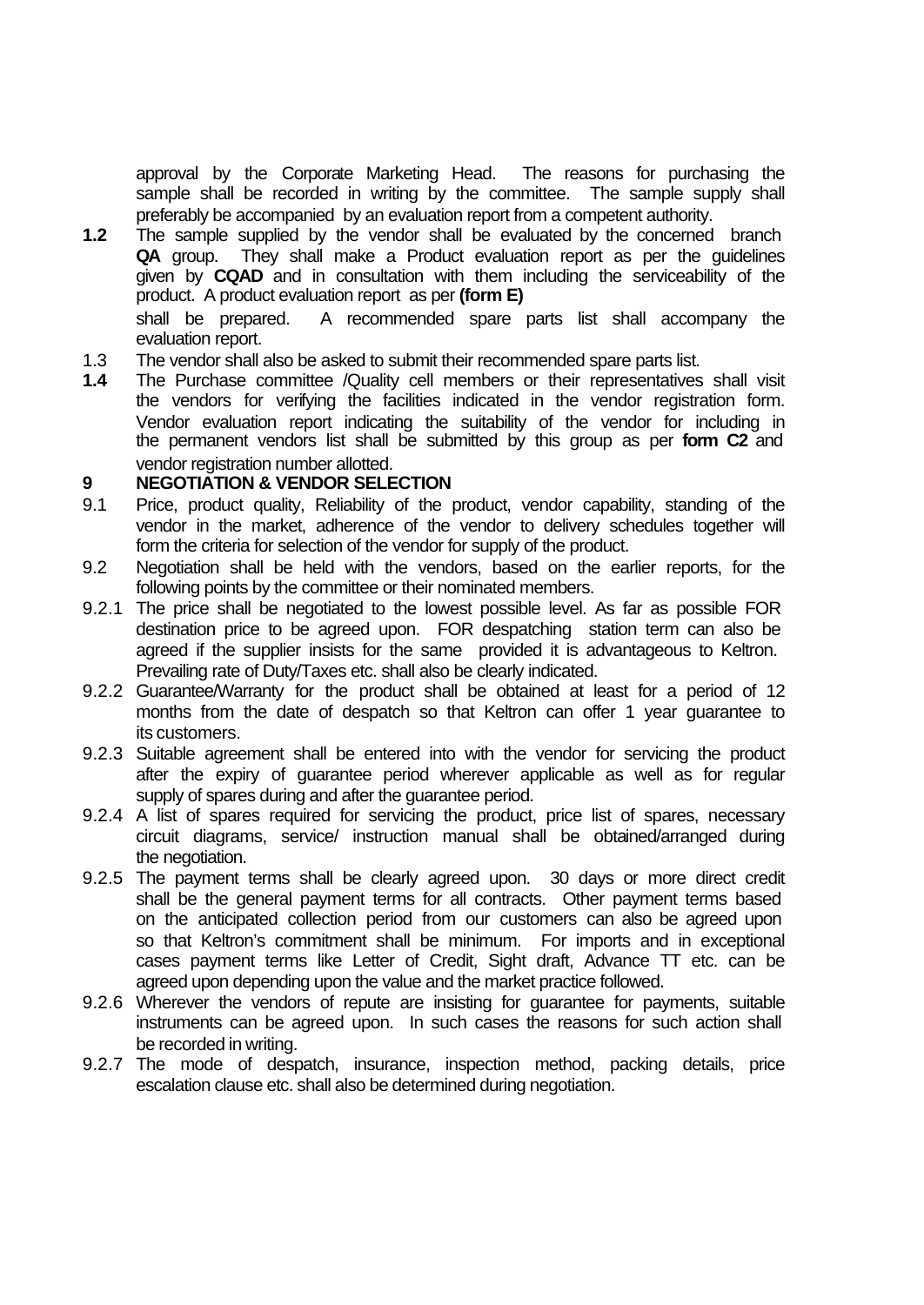approval by the Corporate Marketing Head. The reasons for purchasing the sample shall be recorded in writing by the committee. The sample supply shall preferably be accompanied by an evaluation report from a competent authority.

**1.2** The sample supplied by the vendor shall be evaluated by the concerned branch **QA** group. They shall make a Product evaluation report as per the guidelines given by **CQAD** and in consultation with them including the serviceability of the product. A product evaluation report as per **(form E)** shall be prepared. A recommended spare parts list shall accompany the

evaluation report.

- 1.3 The vendor shall also be asked to submit their recommended spare parts list.
- **1.4** The Purchase committee /Quality cell members or their representatives shall visit the vendors for verifying the facilities indicated in the vendor registration form. Vendor evaluation report indicating the suitability of the vendor for including in the permanent vendors list shall be submitted by this group as per **form C2** and vendor registration number allotted.

#### **9 NEGOTIATION & VENDOR SELECTION**

- 9.1 Price, product quality, Reliability of the product, vendor capability, standing of the vendor in the market, adherence of the vendor to delivery schedules together will form the criteria for selection of the vendor for supply of the product.
- 9.2 Negotiation shall be held with the vendors, based on the earlier reports, for the following points by the committee or their nominated members.
- 9.2.1 The price shall be negotiated to the lowest possible level. As far as possible FOR destination price to be agreed upon. FOR despatching station term can also be agreed if the supplier insists for the same provided it is advantageous to Keltron. Prevailing rate of Duty/Taxes etc. shall also be clearly indicated.
- 9.2.2 Guarantee/Warranty for the product shall be obtained at least for a period of 12 months from the date of despatch so that Keltron can offer 1 year guarantee to its customers.
- 9.2.3 Suitable agreement shall be entered into with the vendor for servicing the product after the expiry of guarantee period wherever applicable as well as for regular supply of spares during and after the guarantee period.
- 9.2.4 A list of spares required for servicing the product, price list of spares, necessary circuit diagrams, service/ instruction manual shall be obtained/arranged during the negotiation.
- 9.2.5 The payment terms shall be clearly agreed upon. 30 days or more direct credit shall be the general payment terms for all contracts. Other payment terms based on the anticipated collection period from our customers can also be agreed upon so that Keltron's commitment shall be minimum. For imports and in exceptional cases payment terms like Letter of Credit, Sight draft, Advance TT etc. can be agreed upon depending upon the value and the market practice followed.
- 9.2.6 Wherever the vendors of repute are insisting for guarantee for payments, suitable instruments can be agreed upon. In such cases the reasons for such action shall be recorded in writing.
- 9.2.7 The mode of despatch, insurance, inspection method, packing details, price escalation clause etc. shall also be determined during negotiation.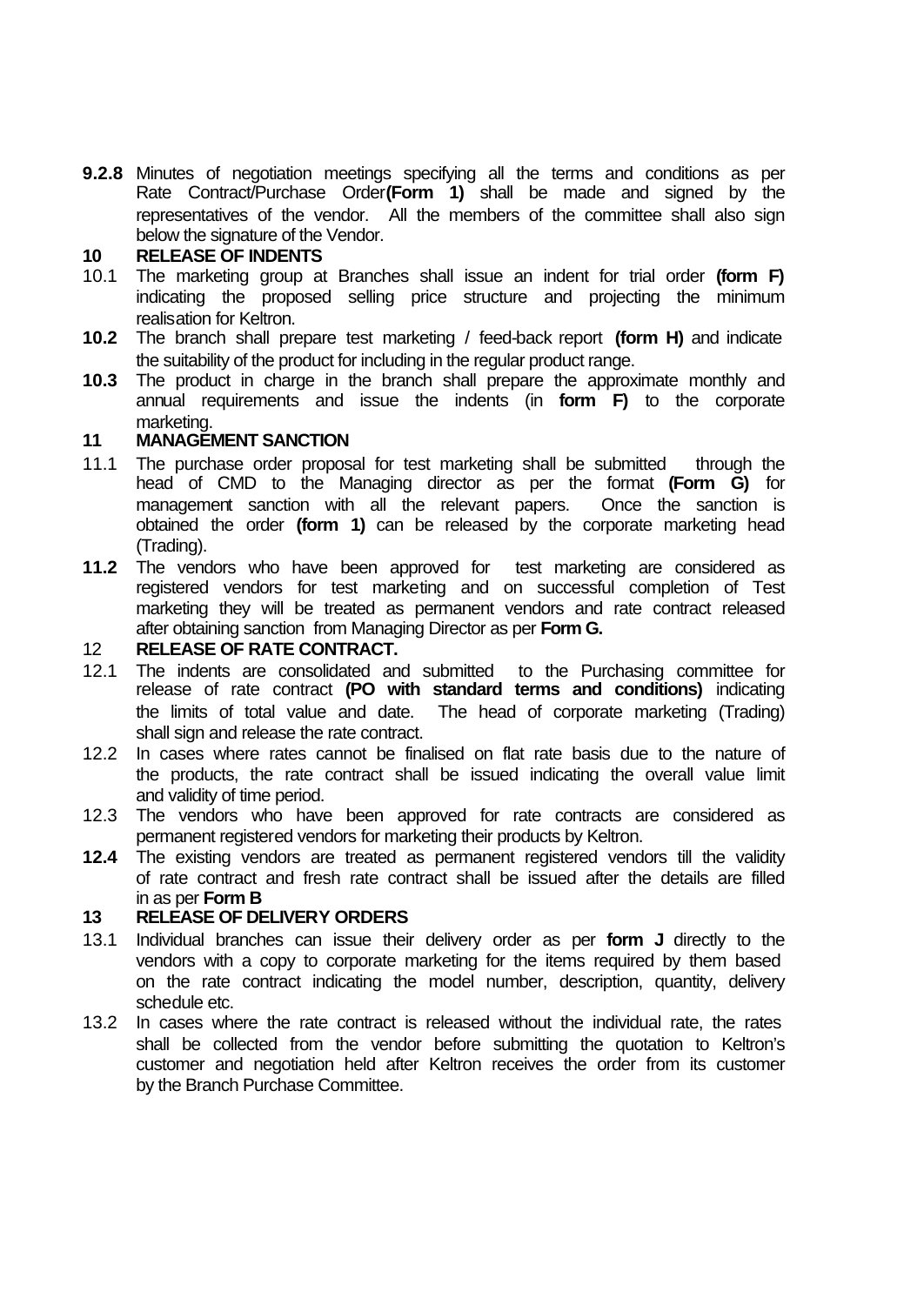**9.2.8** Minutes of negotiation meetings specifying all the terms and conditions as per Rate Contract/Purchase Order**(Form 1)** shall be made and signed by the representatives of the vendor. All the members of the committee shall also sign below the signature of the Vendor.

#### **10 RELEASE OF INDENTS**

- 10.1 The marketing group at Branches shall issue an indent for trial order **(form F)** indicating the proposed selling price structure and projecting the minimum realisation for Keltron.
- **10.2** The branch shall prepare test marketing / feed-back report **(form H)** and indicate the suitability of the product for including in the regular product range.
- **10.3** The product in charge in the branch shall prepare the approximate monthly and annual requirements and issue the indents (in **form F)** to the corporate marketing.

#### **11 MANAGEMENT SANCTION**

- 11.1 The purchase order proposal for test marketing shall be submitted through the head of CMD to the Managing director as per the format **(Form G)** for management sanction with all the relevant papers. Once the sanction is obtained the order **(form 1)** can be released by the corporate marketing head (Trading).
- **11.2** The vendors who have been approved for test marketing are considered as registered vendors for test marketing and on successful completion of Test marketing they will be treated as permanent vendors and rate contract released after obtaining sanction from Managing Director as per **Form G.**

#### 12 **RELEASE OF RATE CONTRACT.**

- 12.1 The indents are consolidated and submitted to the Purchasing committee for release of rate contract **(PO with standard terms and conditions)** indicating the limits of total value and date. The head of corporate marketing (Trading) shall sign and release the rate contract.
- 12.2 In cases where rates cannot be finalised on flat rate basis due to the nature of the products, the rate contract shall be issued indicating the overall value limit and validity of time period.
- 12.3 The vendors who have been approved for rate contracts are considered as permanent registered vendors for marketing their products by Keltron.
- **12.4** The existing vendors are treated as permanent registered vendors till the validity of rate contract and fresh rate contract shall be issued after the details are filled in as per **Form B**

#### **13 RELEASE OF DELIVERY ORDERS**

- 13.1 Individual branches can issue their delivery order as per **form J** directly to the vendors with a copy to corporate marketing for the items required by them based on the rate contract indicating the model number, description, quantity, delivery schedule etc.
- 13.2 In cases where the rate contract is released without the individual rate, the rates shall be collected from the vendor before submitting the quotation to Keltron's customer and negotiation held after Keltron receives the order from its customer by the Branch Purchase Committee.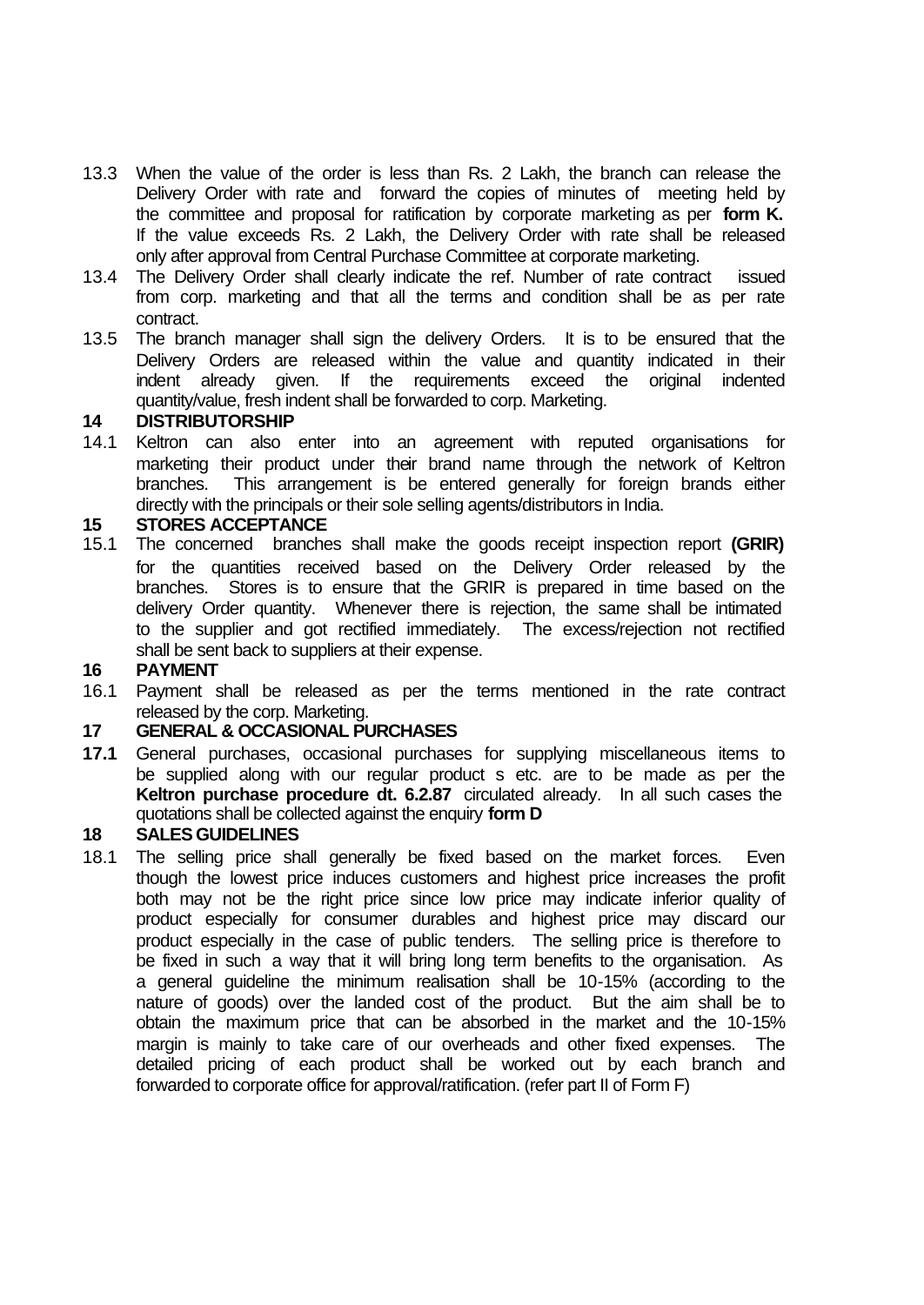- 13.3 When the value of the order is less than Rs. 2 Lakh, the branch can release the Delivery Order with rate and forward the copies of minutes of meeting held by the committee and proposal for ratification by corporate marketing as per **form K.**  If the value exceeds Rs. 2 Lakh, the Delivery Order with rate shall be released only after approval from Central Purchase Committee at corporate marketing.
- 13.4 The Delivery Order shall clearly indicate the ref. Number of rate contract issued from corp. marketing and that all the terms and condition shall be as per rate contract.
- 13.5 The branch manager shall sign the delivery Orders. It is to be ensured that the Delivery Orders are released within the value and quantity indicated in their indent already given. If the requirements exceed the original indented quantity/value, fresh indent shall be forwarded to corp. Marketing.

#### **14 DISTRIBUTORSHIP**

14.1 Keltron can also enter into an agreement with reputed organisations for marketing their product under their brand name through the network of Keltron branches. This arrangement is be entered generally for foreign brands either directly with the principals or their sole selling agents/distributors in India.

#### **15 STORES ACCEPTANCE**

15.1 The concerned branches shall make the goods receipt inspection report **(GRIR)** for the quantities received based on the Delivery Order released by the branches. Stores is to ensure that the GRIR is prepared in time based on the delivery Order quantity. Whenever there is rejection, the same shall be intimated to the supplier and got rectified immediately. The excess/rejection not rectified shall be sent back to suppliers at their expense.

#### **16 PAYMENT**

16.1 Payment shall be released as per the terms mentioned in the rate contract released by the corp. Marketing.

#### **17 GENERAL & OCCASIONAL PURCHASES**

**17.1** General purchases, occasional purchases for supplying miscellaneous items to be supplied along with our regular product s etc. are to be made as per the **Keltron purchase procedure dt. 6.2.87** circulated already. In all such cases the quotations shall be collected against the enquiry **form D**

#### **18 SALES GUIDELINES**

18.1 The selling price shall generally be fixed based on the market forces. Even though the lowest price induces customers and highest price increases the profit both may not be the right price since low price may indicate inferior quality of product especially for consumer durables and highest price may discard our product especially in the case of public tenders. The selling price is therefore to be fixed in such a way that it will bring long term benefits to the organisation. As a general guideline the minimum realisation shall be 10-15% (according to the nature of goods) over the landed cost of the product. But the aim shall be to obtain the maximum price that can be absorbed in the market and the 10-15% margin is mainly to take care of our overheads and other fixed expenses. The detailed pricing of each product shall be worked out by each branch and forwarded to corporate office for approval/ratification. (refer part II of Form F)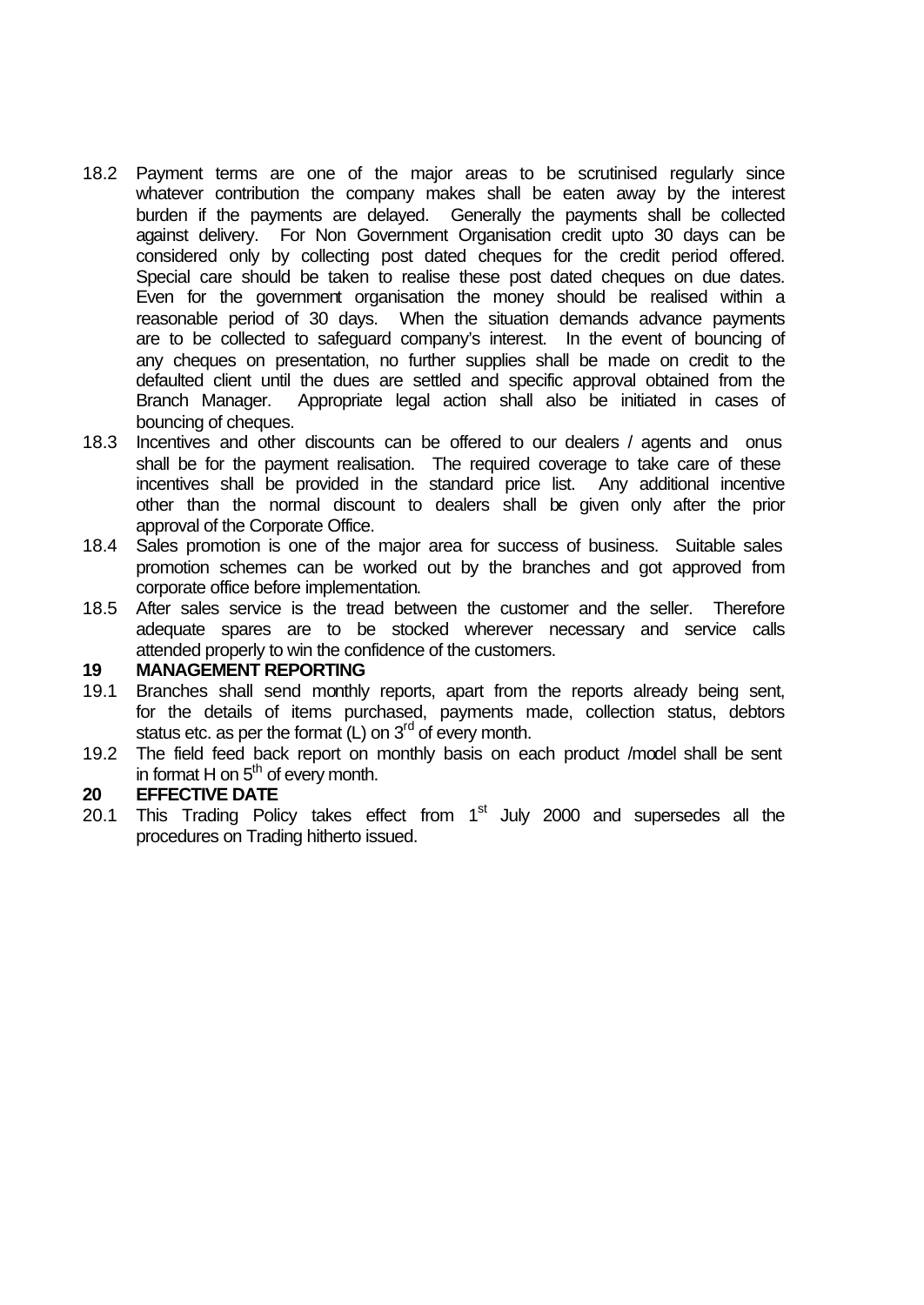- 18.2 Payment terms are one of the major areas to be scrutinised regularly since whatever contribution the company makes shall be eaten away by the interest burden if the payments are delayed. Generally the payments shall be collected against delivery. For Non Government Organisation credit upto 30 days can be considered only by collecting post dated cheques for the credit period offered. Special care should be taken to realise these post dated cheques on due dates. Even for the government organisation the money should be realised within a reasonable period of 30 days. When the situation demands advance payments are to be collected to safeguard company's interest. In the event of bouncing of any cheques on presentation, no further supplies shall be made on credit to the defaulted client until the dues are settled and specific approval obtained from the Branch Manager. Appropriate legal action shall also be initiated in cases of bouncing of cheques.
- 18.3 Incentives and other discounts can be offered to our dealers / agents and onus shall be for the payment realisation. The required coverage to take care of these incentives shall be provided in the standard price list. Any additional incentive other than the normal discount to dealers shall be given only after the prior approval of the Corporate Office.
- 18.4 Sales promotion is one of the major area for success of business. Suitable sales promotion schemes can be worked out by the branches and got approved from corporate office before implementation.
- 18.5 After sales service is the tread between the customer and the seller. Therefore adequate spares are to be stocked wherever necessary and service calls attended properly to win the confidence of the customers.

#### **19 MANAGEMENT REPORTING**

- 19.1 Branches shall send monthly reports, apart from the reports already being sent, for the details of items purchased, payments made, collection status, debtors status etc. as per the format  $(L)$  on  $3<sup>rd</sup>$  of every month.
- 19.2 The field feed back report on monthly basis on each product /model shall be sent in format H on  $5<sup>th</sup>$  of every month.

#### **20 EFFECTIVE DATE**

20.1 This Trading Policy takes effect from 1<sup>st</sup> July 2000 and supersedes all the procedures on Trading hitherto issued.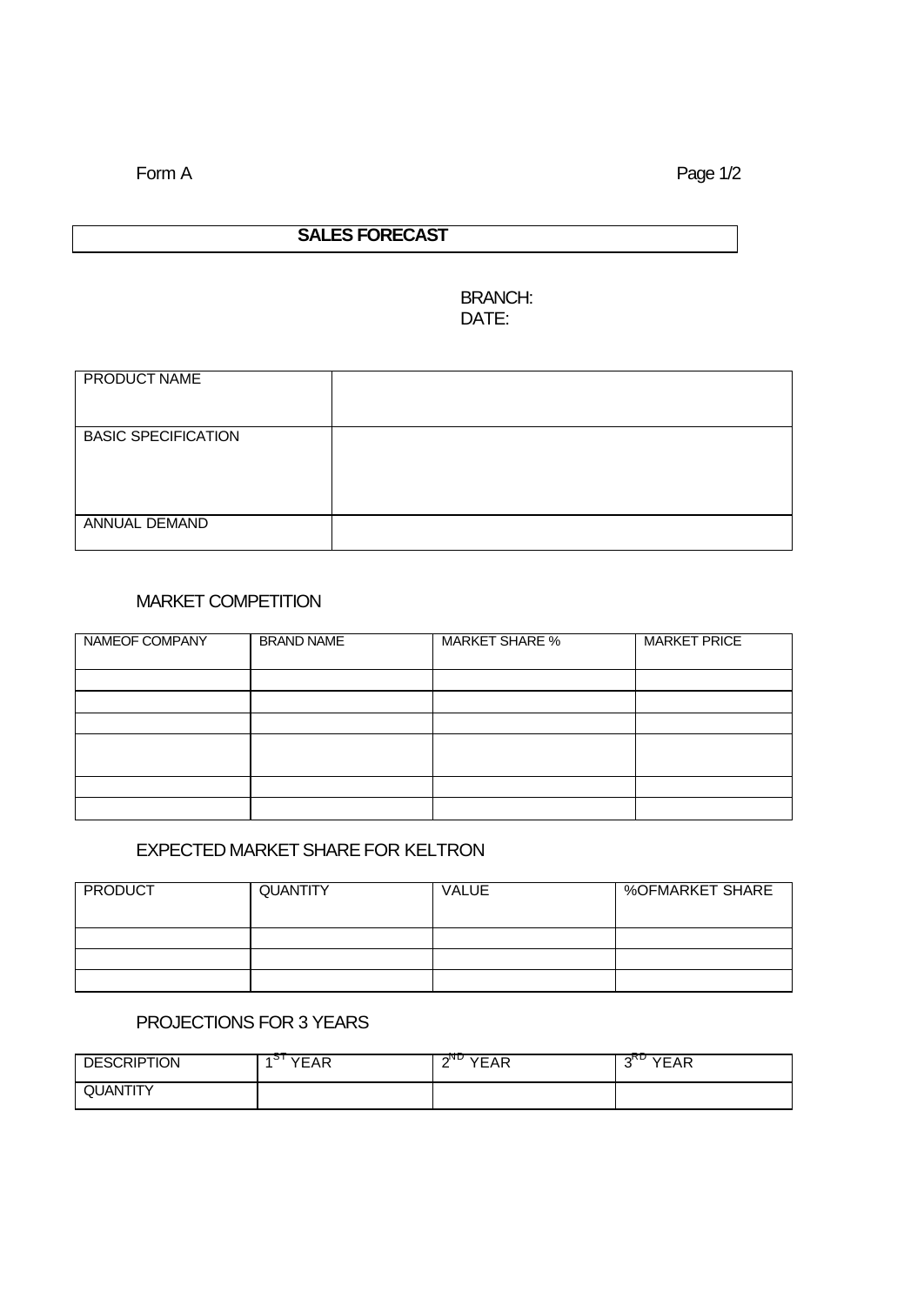Form A Page 1/2

# **SALES FORECAST**

#### BRANCH: DATE:

| <b>PRODUCT NAME</b>        |  |
|----------------------------|--|
| <b>BASIC SPECIFICATION</b> |  |
| <b>ANNUAL DEMAND</b>       |  |

# MARKET COMPETITION

| NAMEOF COMPANY | <b>BRAND NAME</b> | <b>MARKET SHARE %</b> | <b>MARKET PRICE</b> |
|----------------|-------------------|-----------------------|---------------------|
|                |                   |                       |                     |
|                |                   |                       |                     |
|                |                   |                       |                     |
|                |                   |                       |                     |
|                |                   |                       |                     |
|                |                   |                       |                     |

# EXPECTED MARKET SHARE FOR KELTRON

| <b>PRODUCT</b> | <b>QUANTITY</b> | <b>VALUE</b> | <b>%OFMARKET SHARE</b> |
|----------------|-----------------|--------------|------------------------|
|                |                 |              |                        |
|                |                 |              |                        |
|                |                 |              |                        |

#### PROJECTIONS FOR 3 YEARS

| <b>DESCRIPTION</b>    | $-$<br>YFAR<br>دن ن | $\cdot$ $\cdot$ $\sim$<br>ᇌ<br>VE.<br>ΑR | --<br>ᆪ<br>$\sqrt{r}$<br>ΑR<br>۰. |
|-----------------------|---------------------|------------------------------------------|-----------------------------------|
| <b>OLIANTITY</b><br>. |                     |                                          |                                   |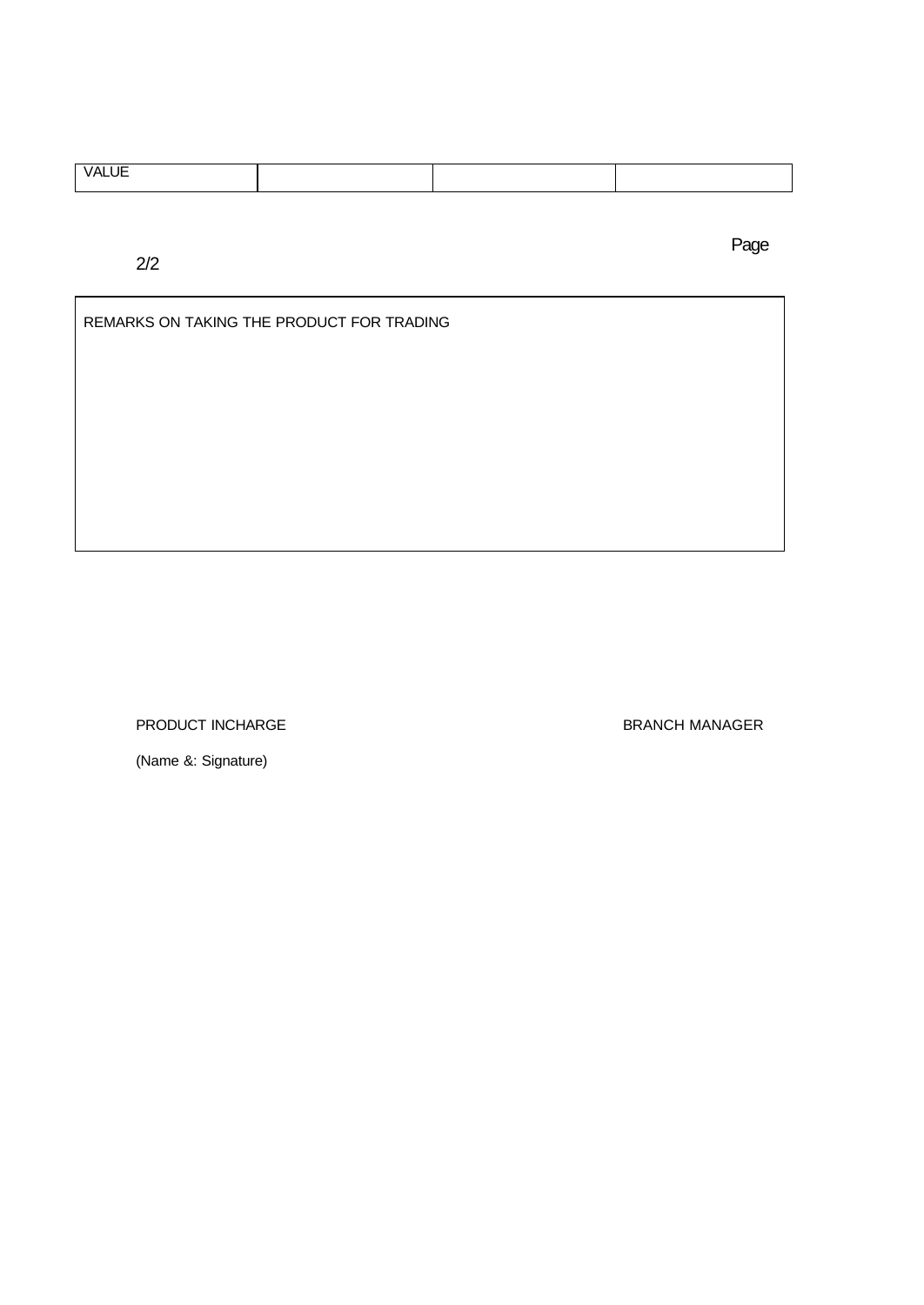| HF.<br><b>VAL</b><br>______ |  |  |
|-----------------------------|--|--|
|                             |  |  |

2/2

REMARKS ON TAKING THE PRODUCT FOR TRADING

PRODUCT INCHARGE BRANCH MANAGER

Page

(Name &: Signature)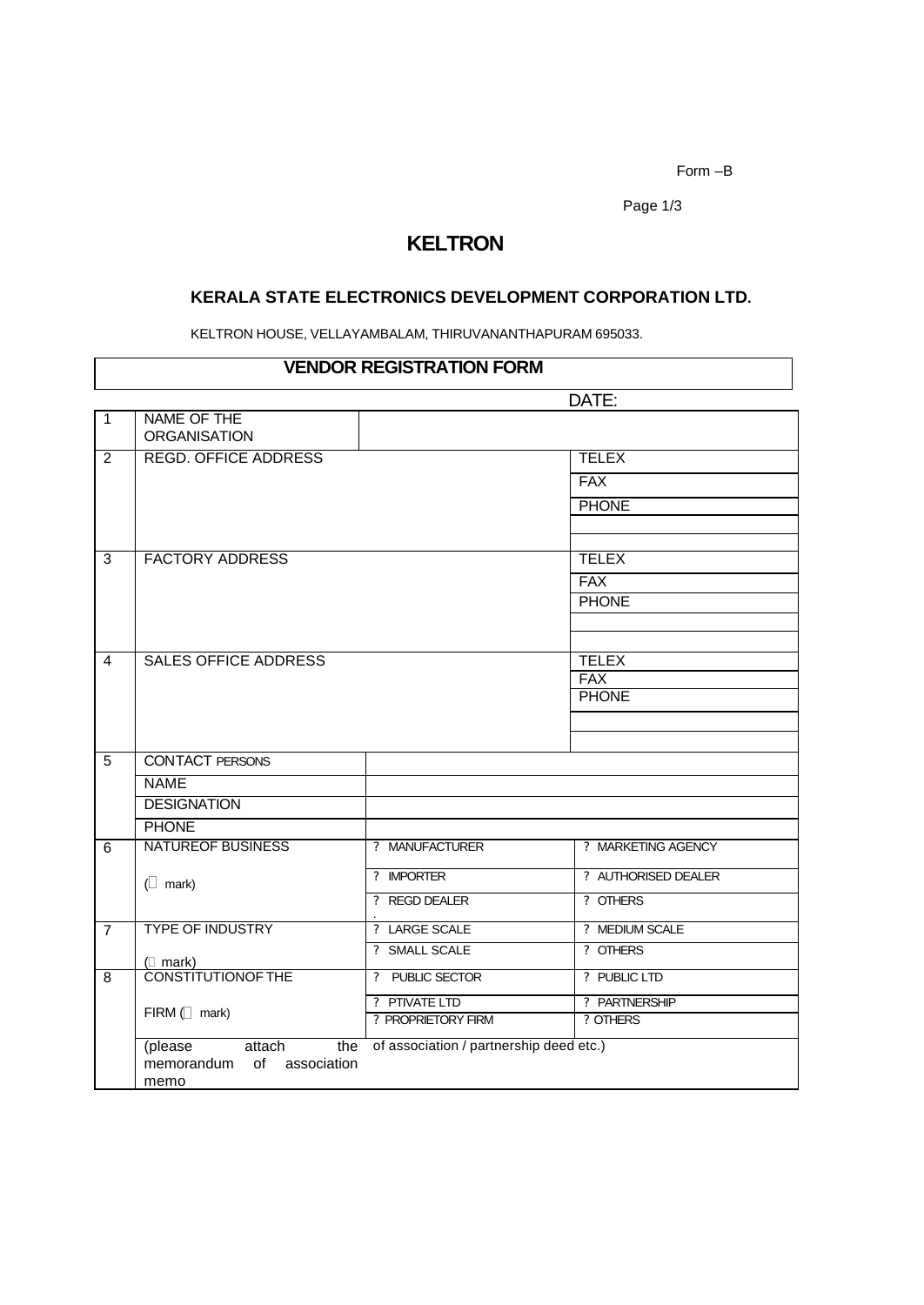Form –B

Page 1/3

# **KELTRON**

# **KERALA STATE ELECTRONICS DEVELOPMENT CORPORATION LTD.**

KELTRON HOUSE, VELLAYAMBALAM, THIRUVANANTHAPURAM 695033.

#### **VENDOR REGISTRATION FORM**

|                |                             |                                             | DATE:                      |
|----------------|-----------------------------|---------------------------------------------|----------------------------|
| $\overline{1}$ | NAME OF THE                 |                                             |                            |
|                | <b>ORGANISATION</b>         |                                             |                            |
| $\overline{2}$ | <b>REGD. OFFICE ADDRESS</b> |                                             | <b>TELEX</b>               |
|                |                             |                                             | <b>FAX</b>                 |
|                |                             |                                             | <b>PHONE</b>               |
|                |                             |                                             |                            |
|                |                             |                                             |                            |
| 3              | <b>FACTORY ADDRESS</b>      |                                             | <b>TELEX</b>               |
|                |                             |                                             | <b>FAX</b>                 |
|                |                             |                                             | <b>PHONE</b>               |
|                |                             |                                             |                            |
|                |                             |                                             |                            |
| $\overline{4}$ | <b>SALES OFFICE ADDRESS</b> |                                             | <b>TELEX</b>               |
|                |                             |                                             | <b>FAX</b><br><b>PHONE</b> |
|                |                             |                                             |                            |
|                |                             |                                             |                            |
|                |                             |                                             |                            |
| $\overline{5}$ | <b>CONTACT PERSONS</b>      |                                             |                            |
|                | <b>NAME</b>                 |                                             |                            |
|                | <b>DESIGNATION</b>          |                                             |                            |
|                | <b>PHONE</b>                |                                             |                            |
| 6              | <b>NATUREOF BUSINESS</b>    | ? MANUFACTURER                              | ? MARKETING AGENCY         |
|                | $(?)$ mark)                 | ? IMPORTER                                  | ? AUTHORISED DEALER        |
|                |                             | ? REGD DEALER                               | ? OTHERS                   |
| $\overline{7}$ | <b>TYPE OF INDUSTRY</b>     | ? LARGE SCALE                               | ? MEDIUM SCALE             |
|                | $(2$ mark)                  | ? SMALL SCALE                               | ? OTHERS                   |
| 8              | <b>CONSTITUTIONOF THE</b>   | ? PUBLIC SECTOR                             | ? PUBLIC LTD               |
|                | FIRM (? mark)               | ? PTIVATE LTD                               | ? PARTNERSHIP              |
|                |                             | ? PROPRIETORY FIRM                          | ? OTHERS                   |
|                | (please<br>attach           | the of association / partnership deed etc.) |                            |
|                | memorandum of association   |                                             |                            |
|                | memo                        |                                             |                            |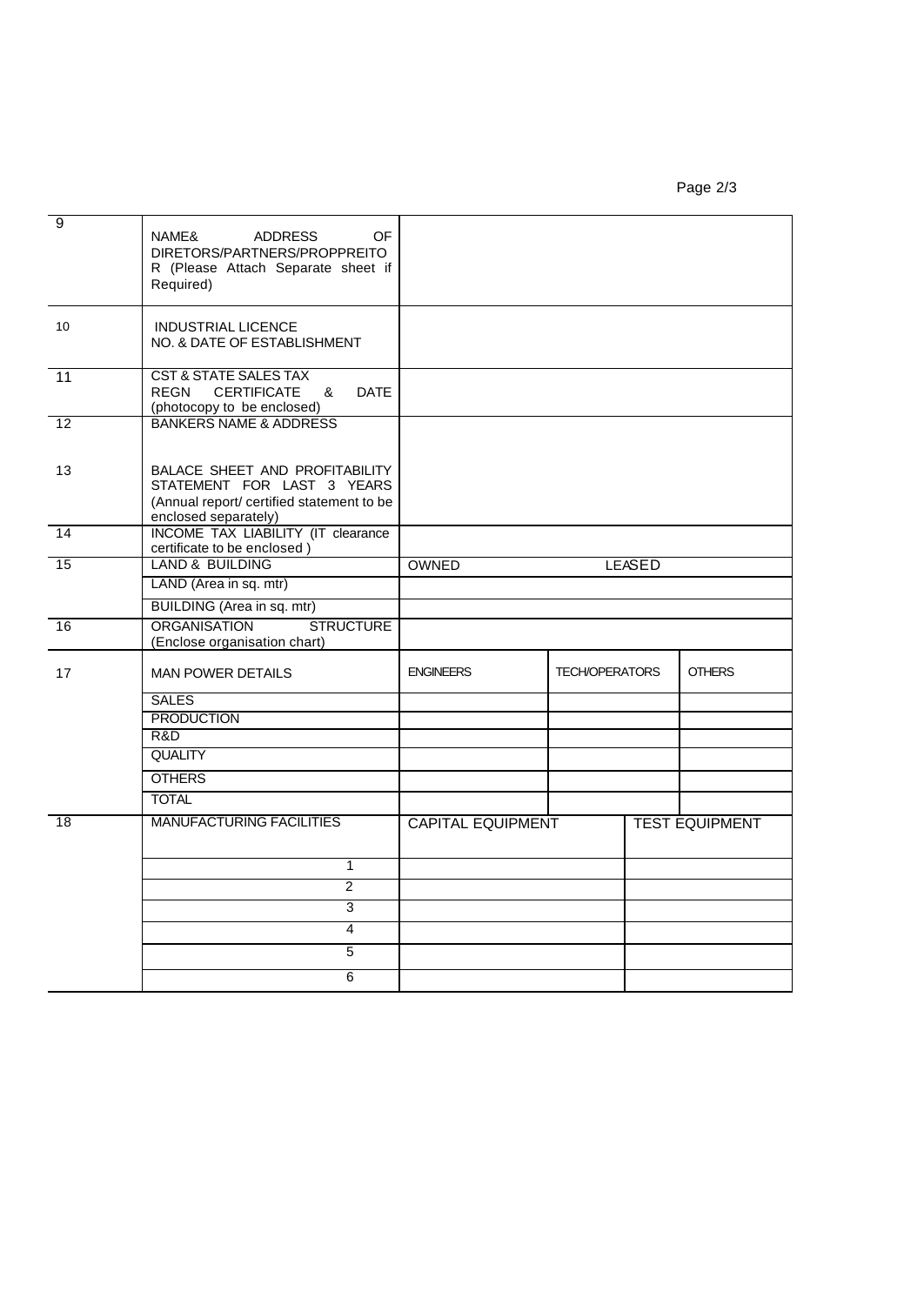Page 2/3

| $\overline{9}$         | OF<br>NAME&<br><b>ADDRESS</b><br>DIRETORS/PARTNERS/PROPPREITO<br>R (Please Attach Separate sheet if<br>Required)                         |                          |                       |               |                       |
|------------------------|------------------------------------------------------------------------------------------------------------------------------------------|--------------------------|-----------------------|---------------|-----------------------|
| 10                     | <b>INDUSTRIAL LICENCE</b><br>NO. & DATE OF ESTABLISHMENT                                                                                 |                          |                       |               |                       |
| 11                     | <b>CST &amp; STATE SALES TAX</b><br>REGN<br>CERTIFICATE<br><b>DATE</b><br>&<br>(photocopy to be enclosed)                                |                          |                       |               |                       |
| 12                     | <b>BANKERS NAME &amp; ADDRESS</b>                                                                                                        |                          |                       |               |                       |
| 13                     | <b>BALACE SHEET AND PROFITABILITY</b><br>STATEMENT FOR LAST 3 YEARS<br>(Annual report/ certified statement to be<br>enclosed separately) |                          |                       |               |                       |
| 14                     | <b>INCOME TAX LIABILITY (IT clearance</b><br>certificate to be enclosed)                                                                 |                          |                       |               |                       |
| 15                     | <b>LAND &amp; BUILDING</b>                                                                                                               | <b>OWNED</b>             |                       | <b>LEASED</b> |                       |
| LAND (Area in sq. mtr) |                                                                                                                                          |                          |                       |               |                       |
|                        | BUILDING (Area in sq. mtr)                                                                                                               |                          |                       |               |                       |
| 16                     | <b>ORGANISATION</b><br><b>STRUCTURE</b><br>(Enclose organisation chart)                                                                  |                          |                       |               |                       |
| 17                     | <b>MAN POWER DETAILS</b>                                                                                                                 | <b>ENGINEERS</b>         | <b>TECH/OPERATORS</b> |               | <b>OTHERS</b>         |
|                        | <b>SALES</b>                                                                                                                             |                          |                       |               |                       |
|                        | <b>PRODUCTION</b>                                                                                                                        |                          |                       |               |                       |
|                        | R&D                                                                                                                                      |                          |                       |               |                       |
|                        | <b>QUALITY</b>                                                                                                                           |                          |                       |               |                       |
|                        | <b>OTHERS</b>                                                                                                                            |                          |                       |               |                       |
|                        | <b>TOTAL</b>                                                                                                                             |                          |                       |               |                       |
| 18                     | <b>MANUFACTURING FACILITIES</b>                                                                                                          | <b>CAPITAL EQUIPMENT</b> |                       |               | <b>TEST EQUIPMENT</b> |
|                        | $\mathbf{1}$                                                                                                                             |                          |                       |               |                       |
|                        | $\overline{2}$                                                                                                                           |                          |                       |               |                       |
|                        | $\overline{3}$                                                                                                                           |                          |                       |               |                       |
|                        | 4                                                                                                                                        |                          |                       |               |                       |
|                        | $\overline{5}$                                                                                                                           |                          |                       |               |                       |
|                        | 6                                                                                                                                        |                          |                       |               |                       |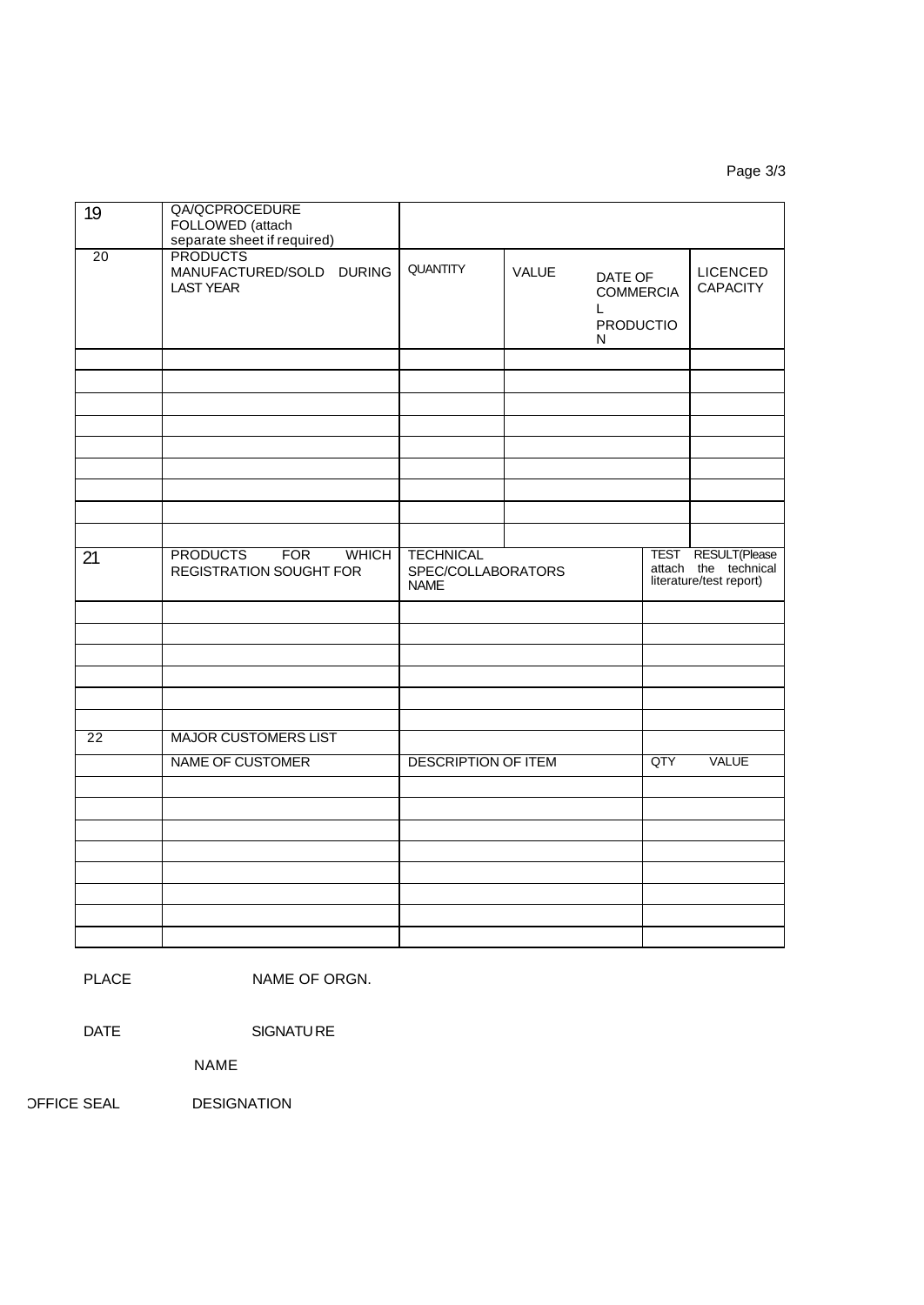Page 3/3

| $\overline{19}$ | QA/QCPROCEDURE<br>FOLLOWED (attach<br>separate sheet if required)        |                                                       |              |                                                           |                                                                              |
|-----------------|--------------------------------------------------------------------------|-------------------------------------------------------|--------------|-----------------------------------------------------------|------------------------------------------------------------------------------|
| 20              | <b>PRODUCTS</b><br>MANUFACTURED/SOLD DURING<br><b>LAST YEAR</b>          | <b>QUANTITY</b>                                       | <b>VALUE</b> | DATE OF<br><b>COMMERCIA</b><br>L<br><b>PRODUCTIO</b><br>N | <b>LICENCED</b><br><b>CAPACITY</b>                                           |
|                 |                                                                          |                                                       |              |                                                           |                                                                              |
|                 |                                                                          |                                                       |              |                                                           |                                                                              |
|                 |                                                                          |                                                       |              |                                                           |                                                                              |
|                 |                                                                          |                                                       |              |                                                           |                                                                              |
|                 |                                                                          |                                                       |              |                                                           |                                                                              |
|                 |                                                                          |                                                       |              |                                                           |                                                                              |
|                 |                                                                          |                                                       |              |                                                           |                                                                              |
|                 |                                                                          |                                                       |              |                                                           |                                                                              |
| 21              | <b>FOR</b><br><b>PRODUCTS</b><br><b>WHICH</b><br>REGISTRATION SOUGHT FOR | <b>TECHNICAL</b><br>SPEC/COLLABORATORS<br><b>NAME</b> |              |                                                           | <b>TEST RESULT(Please</b><br>attach the technical<br>literature/test report) |
|                 |                                                                          |                                                       |              |                                                           |                                                                              |
|                 |                                                                          |                                                       |              |                                                           |                                                                              |
|                 |                                                                          |                                                       |              |                                                           |                                                                              |
|                 |                                                                          |                                                       |              |                                                           |                                                                              |
|                 |                                                                          |                                                       |              |                                                           |                                                                              |
| 22              | <b>MAJOR CUSTOMERS LIST</b>                                              |                                                       |              |                                                           |                                                                              |
|                 | <b>NAME OF CUSTOMER</b>                                                  | <b>DESCRIPTION OF ITEM</b>                            |              | QTY                                                       | <b>VALUE</b>                                                                 |
|                 |                                                                          |                                                       |              |                                                           |                                                                              |
|                 |                                                                          |                                                       |              |                                                           |                                                                              |
|                 |                                                                          |                                                       |              |                                                           |                                                                              |
|                 |                                                                          |                                                       |              |                                                           |                                                                              |
|                 |                                                                          |                                                       |              |                                                           |                                                                              |
|                 |                                                                          |                                                       |              |                                                           |                                                                              |
|                 |                                                                          |                                                       |              |                                                           |                                                                              |
|                 |                                                                          |                                                       |              |                                                           |                                                                              |

PLACE NAME OF ORGN.

DATE SIGNATURE

NAME

OFFICE SEAL DESIGNATION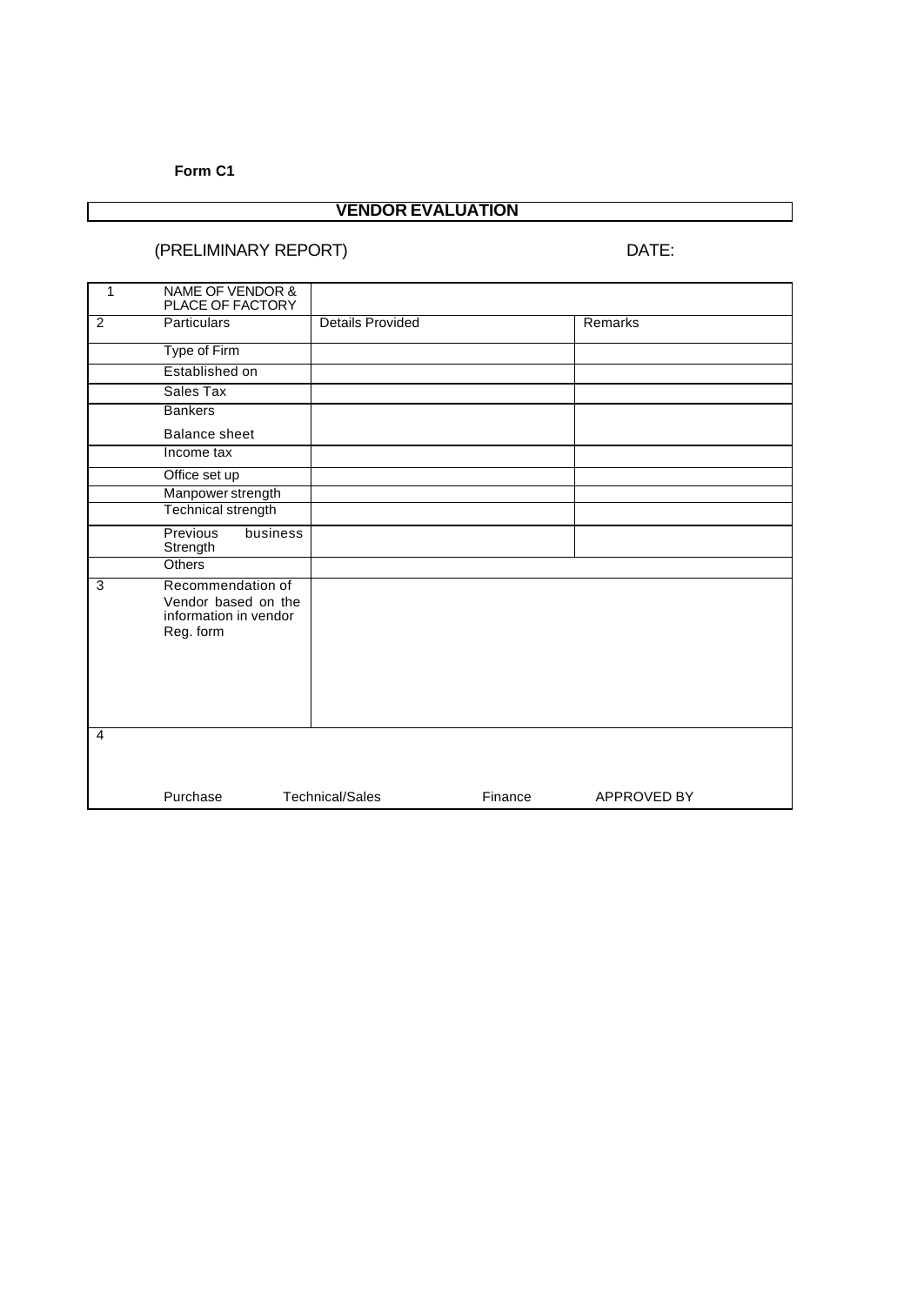**Form C1**

# **VENDOR EVALUATION**

**(PRELIMINARY REPORT)** DATE:

| 1              | NAME OF VENDOR &<br>PLACE OF FACTORY                                           |                         |         |                    |
|----------------|--------------------------------------------------------------------------------|-------------------------|---------|--------------------|
| 2              | <b>Particulars</b>                                                             | <b>Details Provided</b> |         | Remarks            |
|                | Type of Firm                                                                   |                         |         |                    |
|                | Established on                                                                 |                         |         |                    |
|                | Sales Tax                                                                      |                         |         |                    |
|                | <b>Bankers</b>                                                                 |                         |         |                    |
|                | <b>Balance sheet</b>                                                           |                         |         |                    |
|                | Income tax                                                                     |                         |         |                    |
|                | Office set up                                                                  |                         |         |                    |
|                | Manpower strength                                                              |                         |         |                    |
|                | <b>Technical strength</b>                                                      |                         |         |                    |
|                | Previous<br>business<br>Strength                                               |                         |         |                    |
|                | <b>Others</b>                                                                  |                         |         |                    |
| 3              | Recommendation of<br>Vendor based on the<br>information in vendor<br>Reg. form |                         |         |                    |
| $\overline{4}$ | Purchase                                                                       | <b>Technical/Sales</b>  | Finance | <b>APPROVED BY</b> |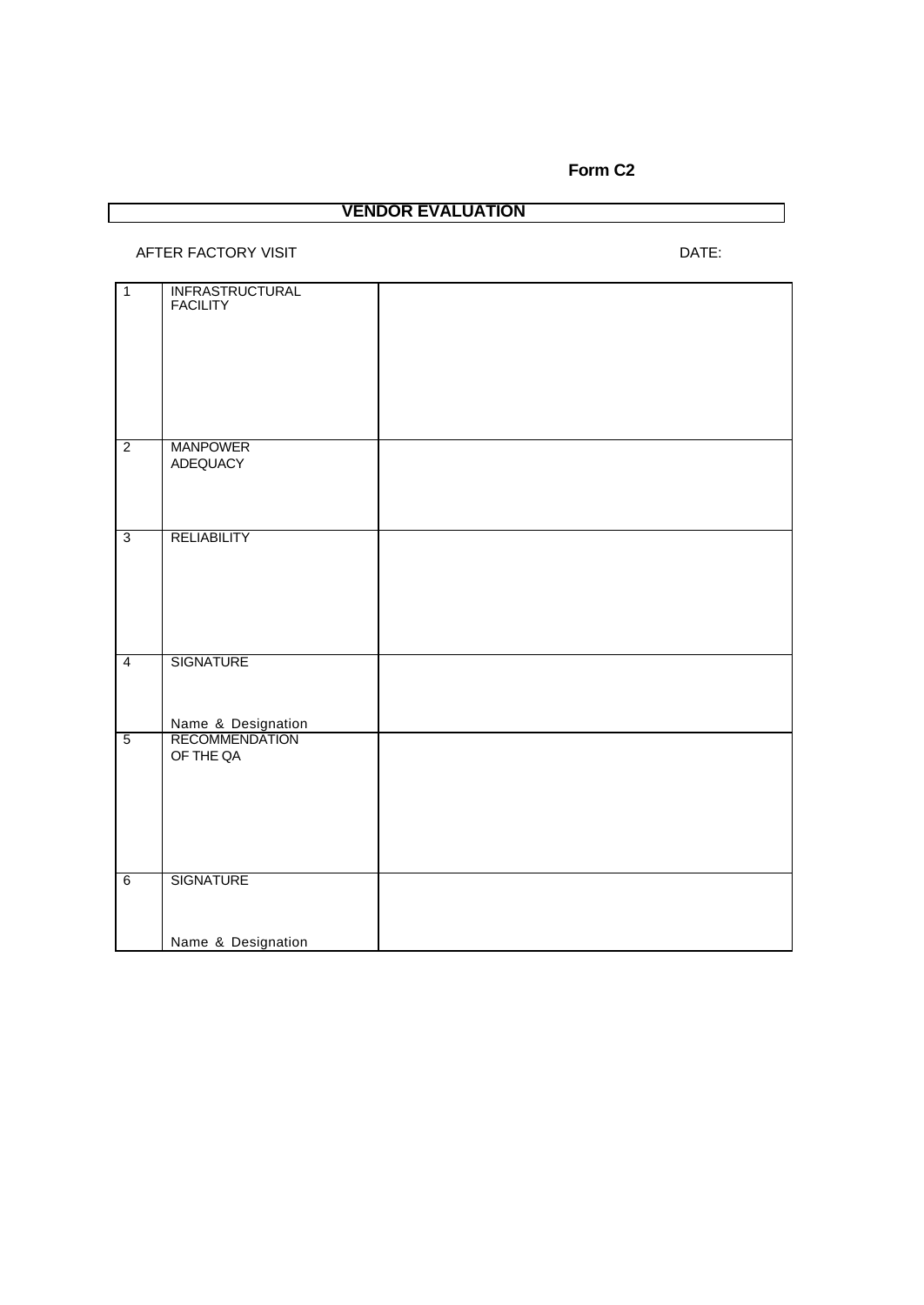# **VENDOR EVALUATION**

#### AFTER FACTORY VISIT **DATE:**

| $\overline{1}$ | INFRASTRUCTURAL<br>FACILITY                       |  |
|----------------|---------------------------------------------------|--|
| $\overline{2}$ | <b>MANPOWER</b><br>ADEQUACY                       |  |
| $\overline{3}$ | <b>RELIABILITY</b>                                |  |
| $\overline{4}$ | <b>SIGNATURE</b>                                  |  |
| $\overline{5}$ | Name & Designation<br>RECOMMENDATION<br>OF THE QA |  |
| 6              | <b>SIGNATURE</b>                                  |  |
|                | Name & Designation                                |  |